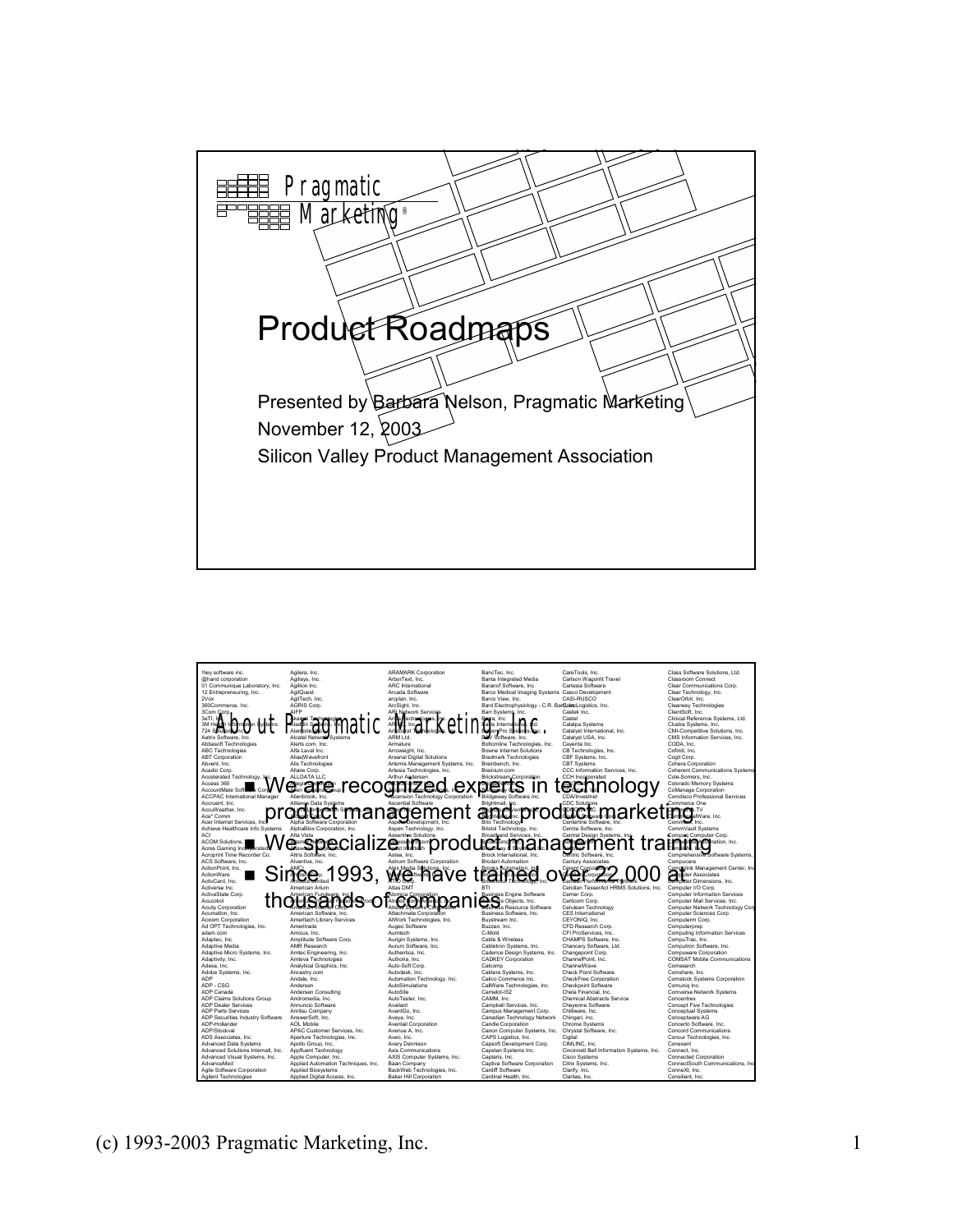

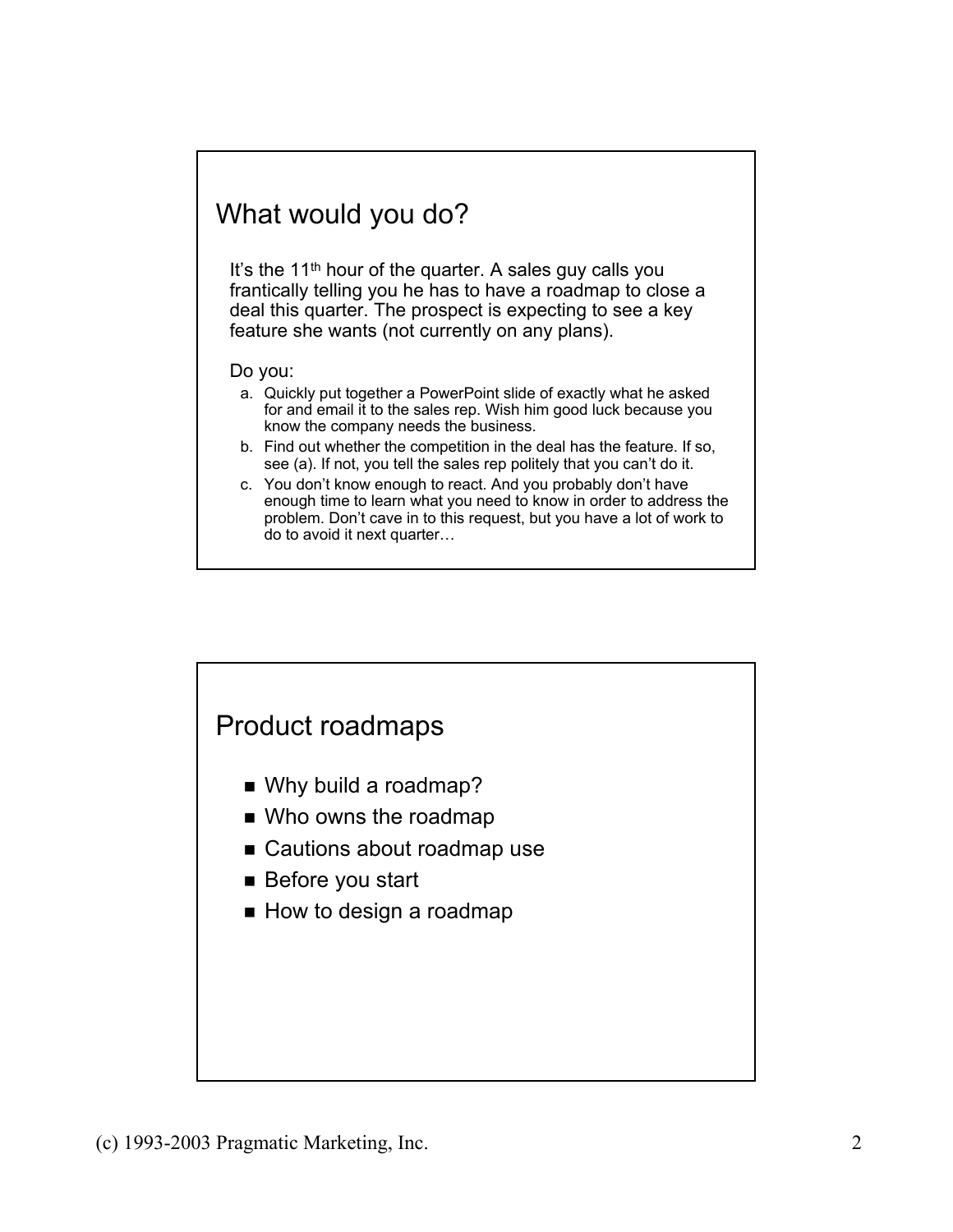## What would you do?

It's the 11<sup>th</sup> hour of the quarter. A sales guy calls you frantically telling you he has to have a roadmap to close a deal this quarter. The prospect is expecting to see a key feature she wants (not currently on any plans).

#### Do you:

- a. Quickly put together a PowerPoint slide of exactly what he asked for and email it to the sales rep. Wish him good luck because you know the company needs the business.
- b. Find out whether the competition in the deal has the feature. If so, see (a). If not, you tell the sales rep politely that you can't do it.
- c. You don't know enough to react. And you probably don't have enough time to learn what you need to know in order to address the problem. Don't cave in to this request, but you have a lot of work to do to avoid it next quarter…

#### Product roadmaps

- Why build a roadmap?
- Who owns the roadmap
- Cautions about roadmap use
- Before you start
- $\blacksquare$  How to design a roadmap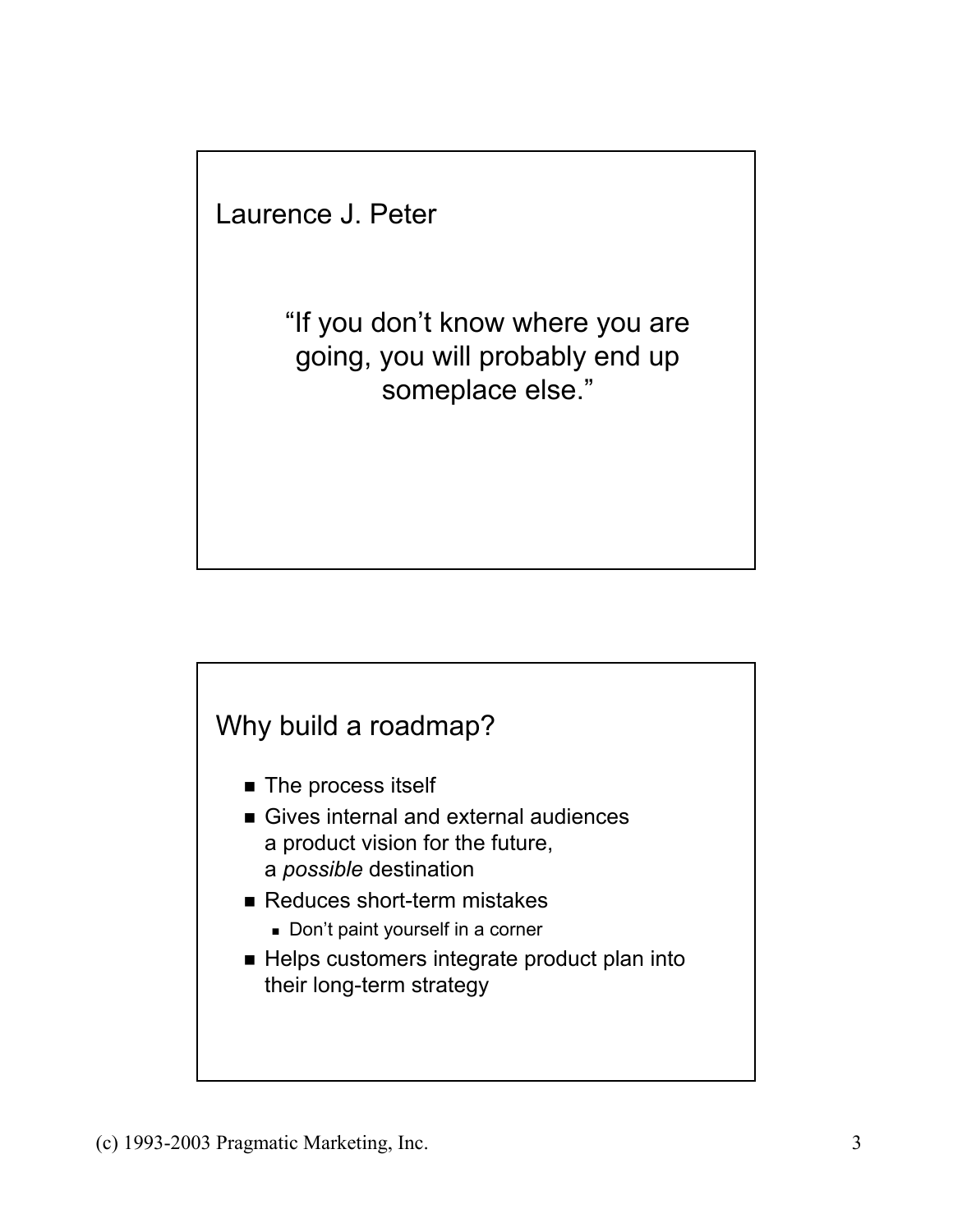Laurence J. Peter

"If you don't know where you are going, you will probably end up someplace else."



- **The process itself**
- Gives internal and external audiences a product vision for the future, a *possible* destination
- Reduces short-term mistakes
	- Don't paint yourself in a corner
- Helps customers integrate product plan into their long-term strategy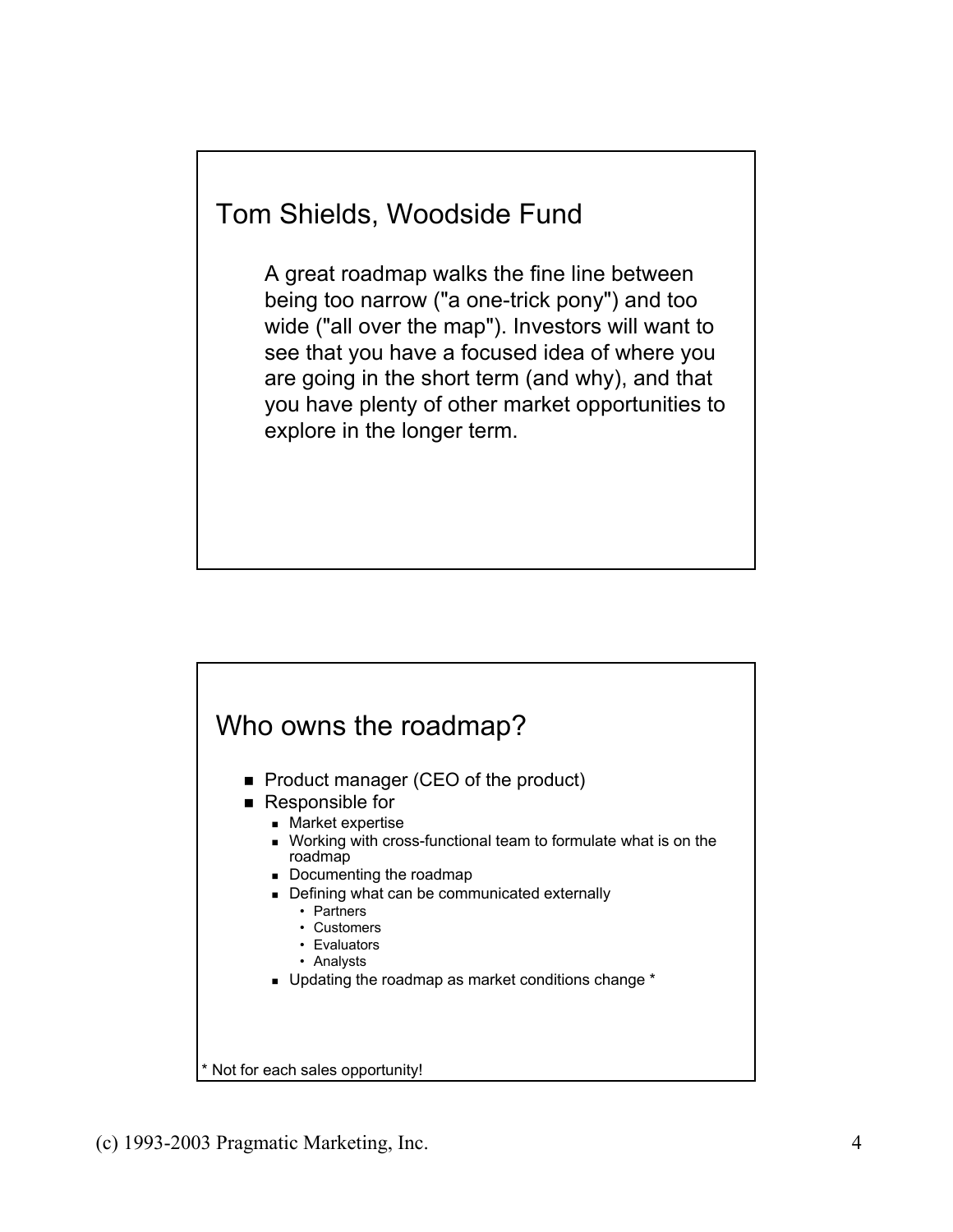# Tom Shields, Woodside Fund

A great roadmap walks the fine line between being too narrow ("a one-trick pony") and too wide ("all over the map"). Investors will want to see that you have a focused idea of where you are going in the short term (and why), and that you have plenty of other market opportunities to explore in the longer term.

### Who owns the roadmap?

- Product manager (CEO of the product)
- Responsible for
	- Market expertise
	- Working with cross-functional team to formulate what is on the roadmap
	- Documenting the roadmap
	- Defining what can be communicated externally
		- Partners
			- Customers
			- Evaluators
			- Analysts
	- Updating the roadmap as market conditions change \*

Not for each sales opportunity!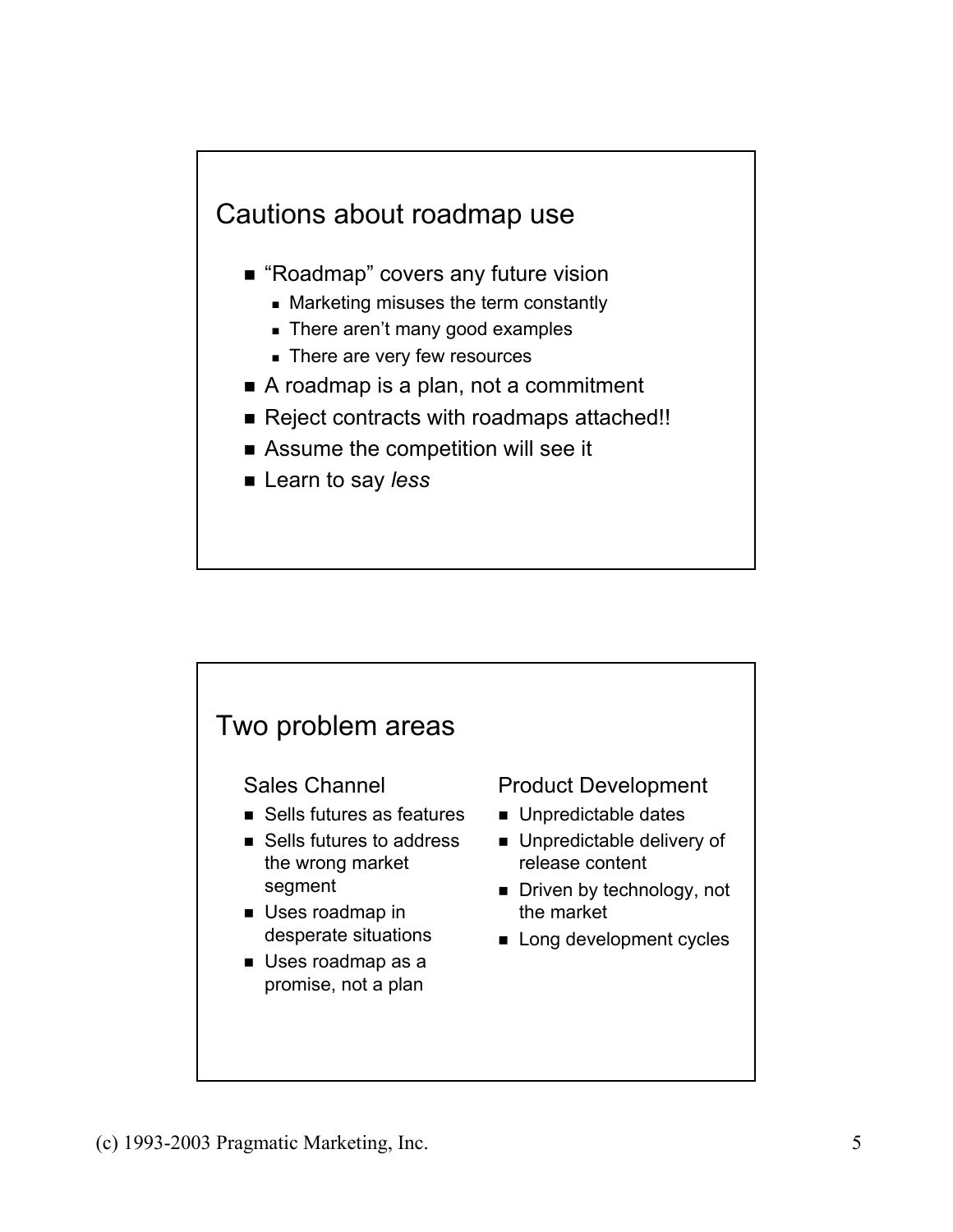

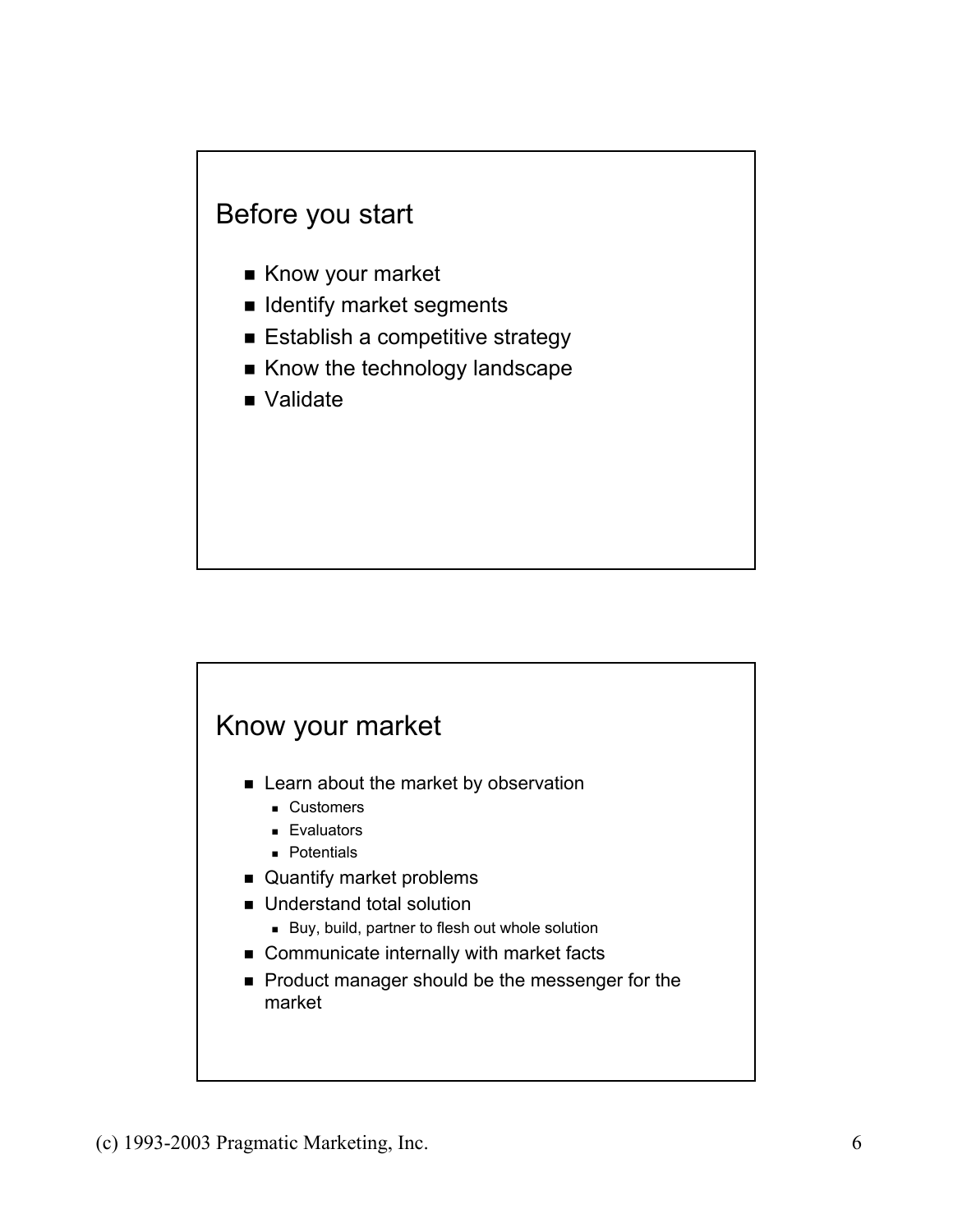#### Before you start

- Know your market
- **I** Identify market segments
- **Establish a competitive strategy**
- Know the technology landscape
- Validate

#### Know your market

- **Example 2** Learn about the market by observation
	- **Customers**
	- **Evaluators**
	- **Potentials**
- Quantify market problems
- **Understand total solution** 
	- Buy, build, partner to flesh out whole solution
- Communicate internally with market facts
- Product manager should be the messenger for the market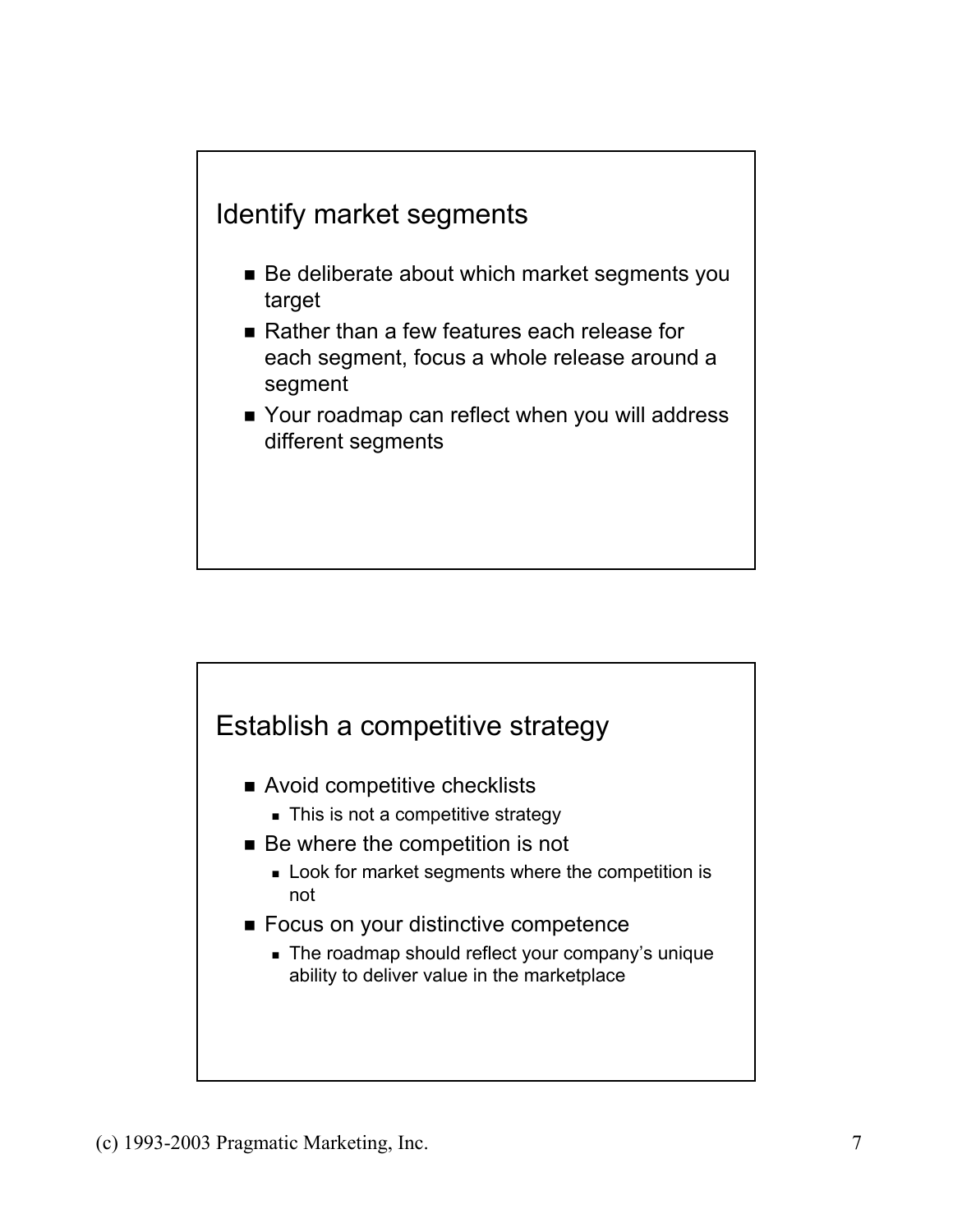

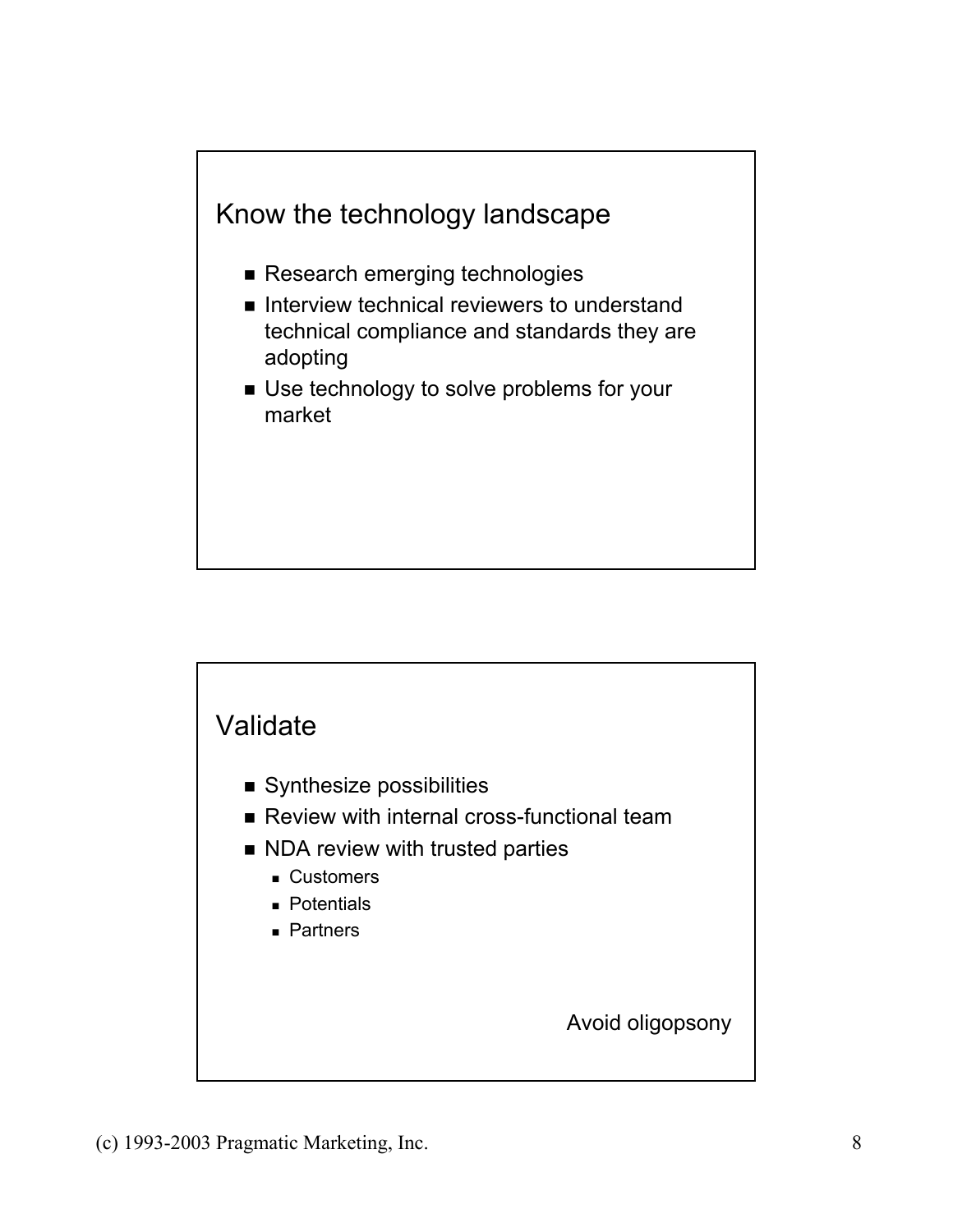

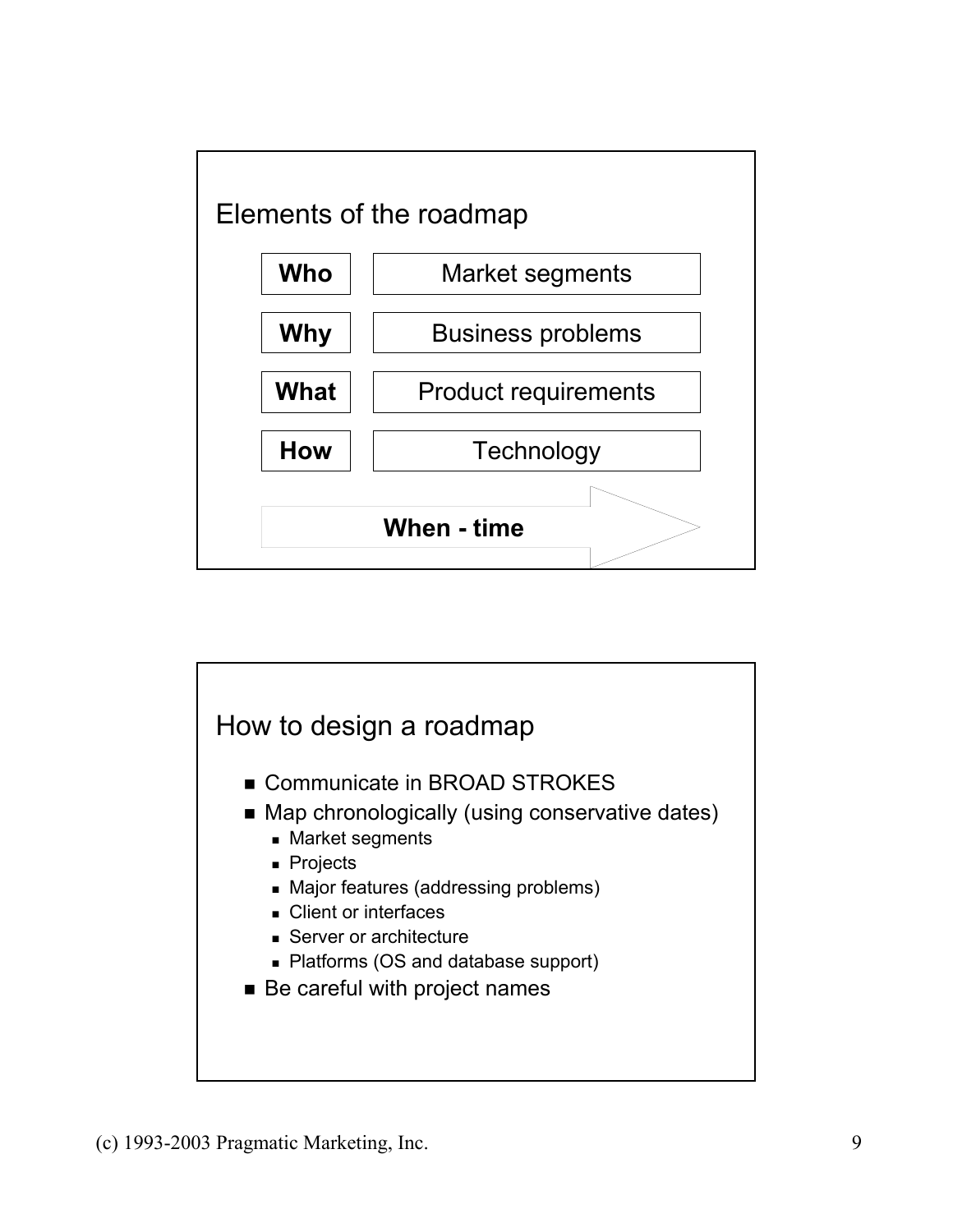

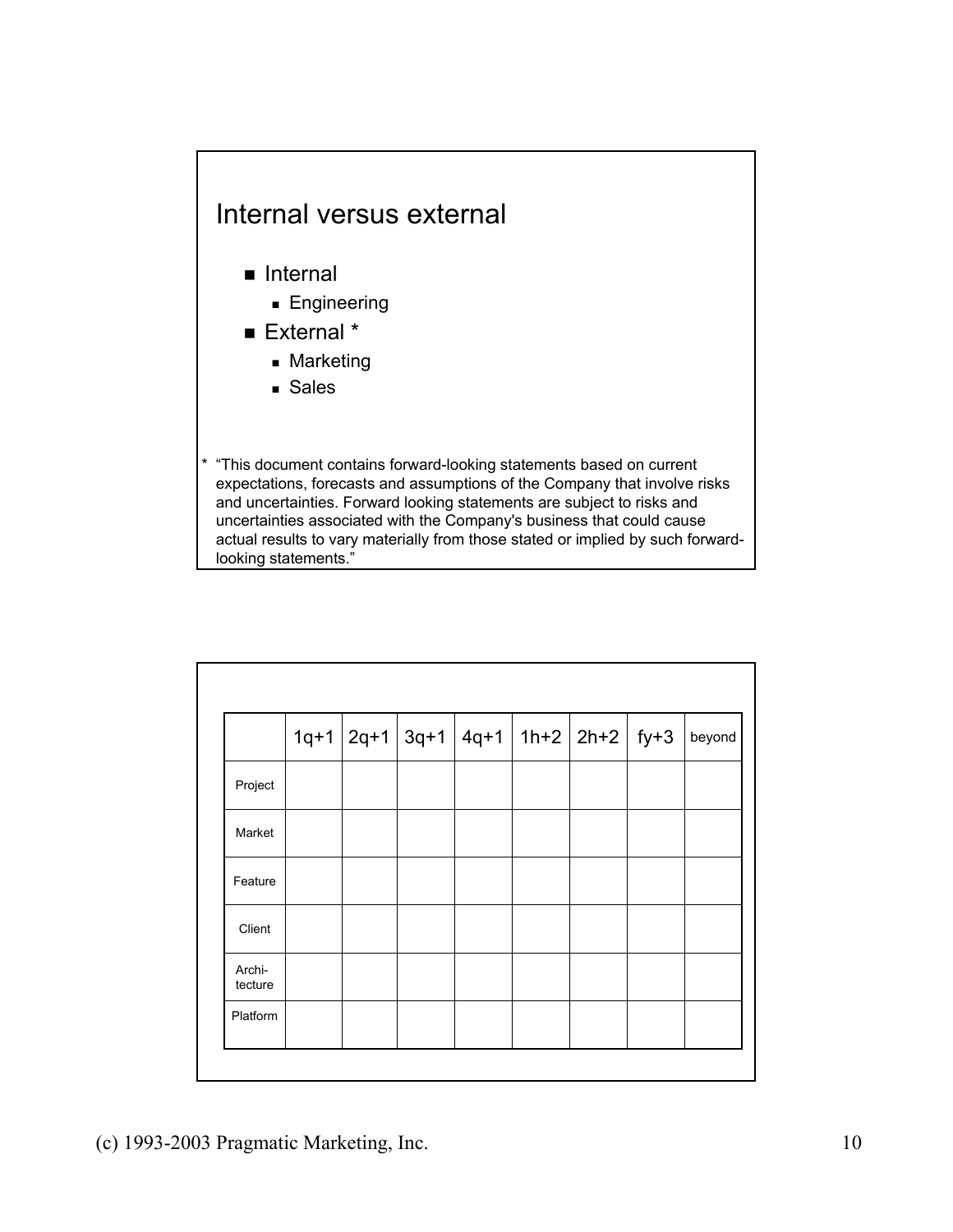### Internal versus external

- **Internal** 
	- **Engineering**
- External \*
	- **Marketing**
	- Sales

\* "This document contains forward-looking statements based on current expectations, forecasts and assumptions of the Company that involve risks and uncertainties. Forward looking statements are subject to risks and uncertainties associated with the Company's business that could cause actual results to vary materially from those stated or implied by such forwardlooking statements."

|                   |  | $1q+1$ 2q+1 3q+1 4q+1 1h+2 2h+2 fy+3 |  |  | beyond |
|-------------------|--|--------------------------------------|--|--|--------|
| Project           |  |                                      |  |  |        |
| Market            |  |                                      |  |  |        |
| Feature           |  |                                      |  |  |        |
| Client            |  |                                      |  |  |        |
| Archi-<br>tecture |  |                                      |  |  |        |
| Platform          |  |                                      |  |  |        |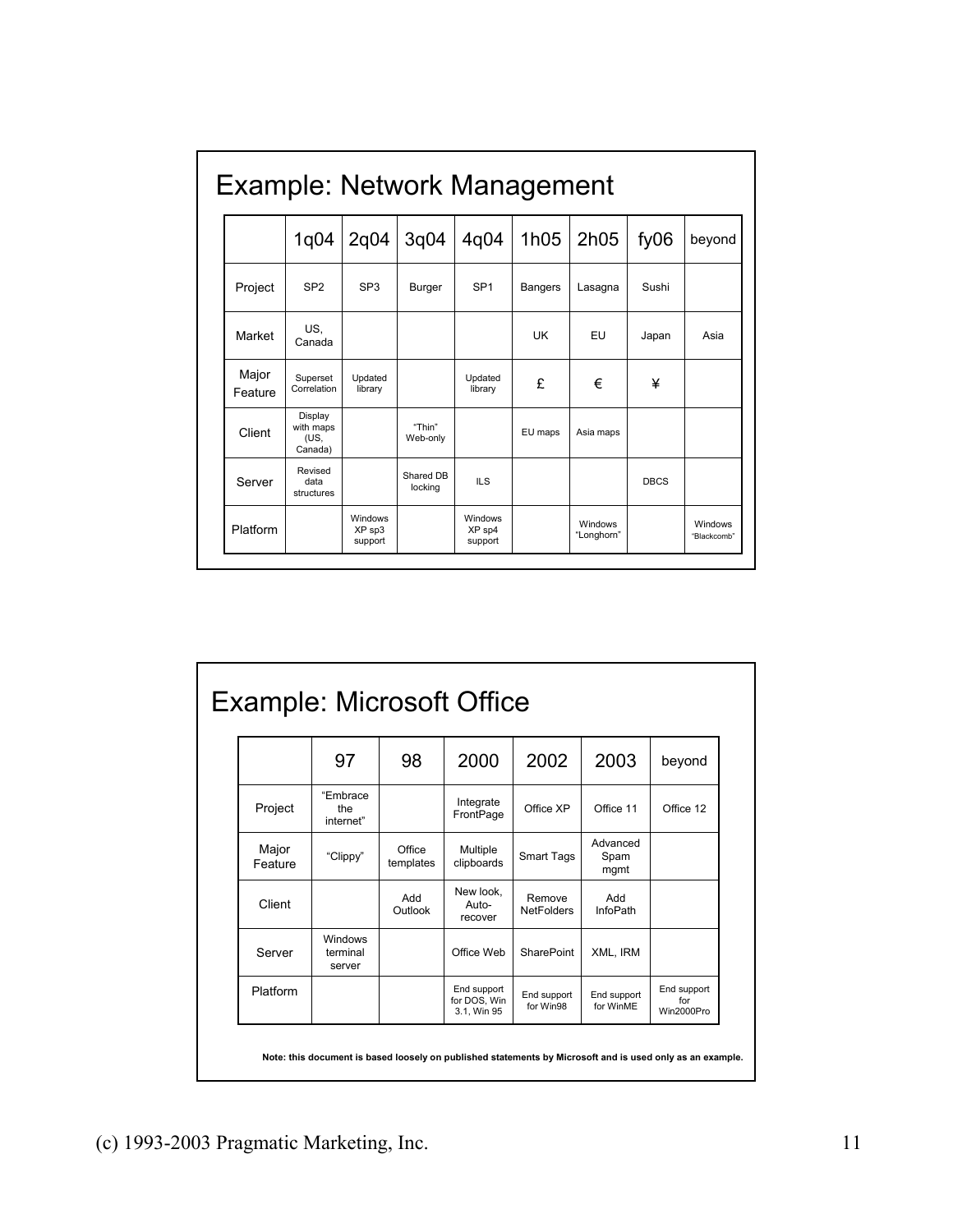| Example: Network Management |                                         |                              |                      |                              |                |                       |             |                        |  |
|-----------------------------|-----------------------------------------|------------------------------|----------------------|------------------------------|----------------|-----------------------|-------------|------------------------|--|
|                             | 1q04                                    | 2q04                         | 3q04                 | 4q04                         | 1h05           | 2h05                  | fy06        | beyond                 |  |
| Project                     | SP <sub>2</sub>                         | SP <sub>3</sub>              | Burger               | SP <sub>1</sub>              | <b>Bangers</b> | Lasagna               | Sushi       |                        |  |
| Market                      | US,<br>Canada                           |                              |                      |                              | UK             | EU                    | Japan       | Asia                   |  |
| Major<br>Feature            | Superset<br>Correlation                 | Updated<br>library           |                      | Updated<br>library           | £              | €                     | ¥           |                        |  |
| Client                      | Display<br>with maps<br>(US.<br>Canada) |                              | "Thin"<br>Web-only   |                              | EU maps        | Asia maps             |             |                        |  |
| Server                      | Revised<br>data<br>structures           |                              | Shared DB<br>locking | <b>ILS</b>                   |                |                       | <b>DBCS</b> |                        |  |
| Platform                    |                                         | Windows<br>XP sp3<br>support |                      | Windows<br>XP sp4<br>support |                | Windows<br>"Longhorn" |             | Windows<br>"Blackcomb" |  |

# Example: Microsoft Office

|                  | 97                            | 98                  | 2000                                       | 2002                        | 2003                     | beyond                           |
|------------------|-------------------------------|---------------------|--------------------------------------------|-----------------------------|--------------------------|----------------------------------|
| Project          | "Embrace<br>the<br>internet"  |                     | Integrate<br>FrontPage                     | Office XP                   | Office 11                | Office 12                        |
| Major<br>Feature | "Clippy"                      | Office<br>templates | Multiple<br>clipboards                     | Smart Tags                  | Advanced<br>Spam<br>mgmt |                                  |
| Client           |                               | Add<br>Outlook      | New look,<br>Auto-<br>recover              | Remove<br><b>NetFolders</b> | Add<br><b>InfoPath</b>   |                                  |
| Server           | Windows<br>terminal<br>server |                     | Office Web                                 | <b>SharePoint</b>           | XML, IRM                 |                                  |
| Platform         |                               |                     | End support<br>for DOS, Win<br>3.1, Win 95 | End support<br>for Win98    | End support<br>for WinME | End support<br>for<br>Win2000Pro |

**Note: this document is based loosely on published statements by Microsoft and is used only as an example.**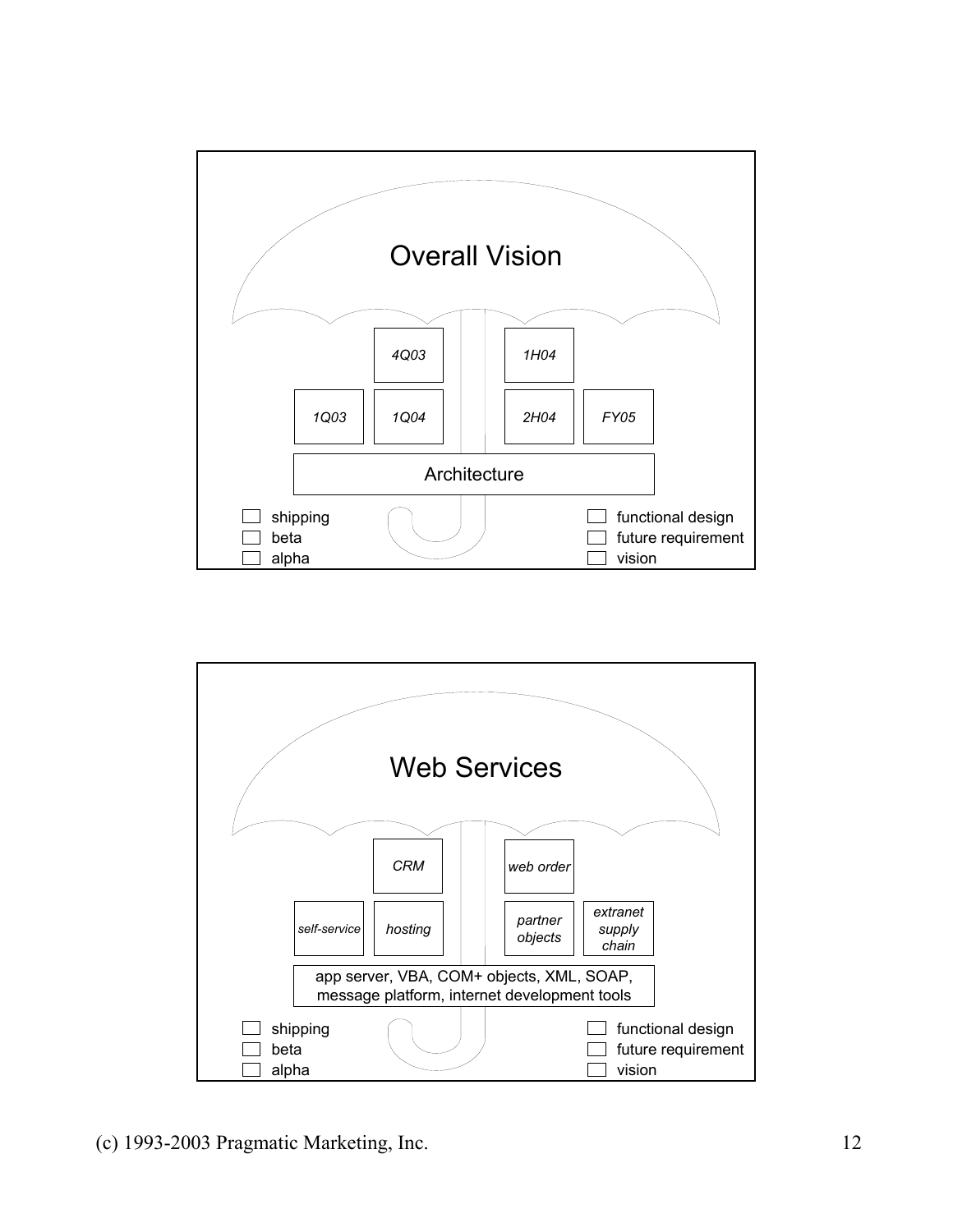

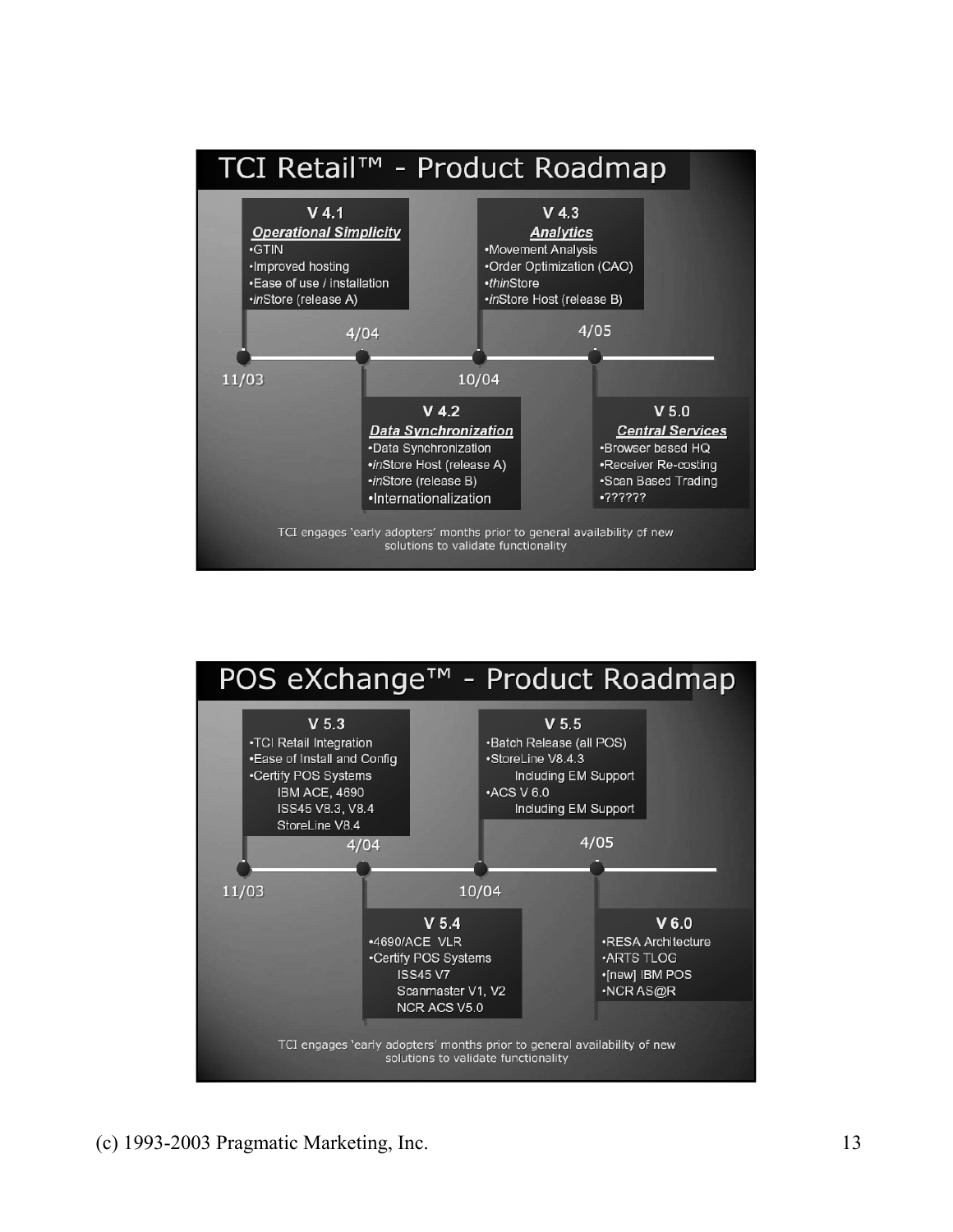

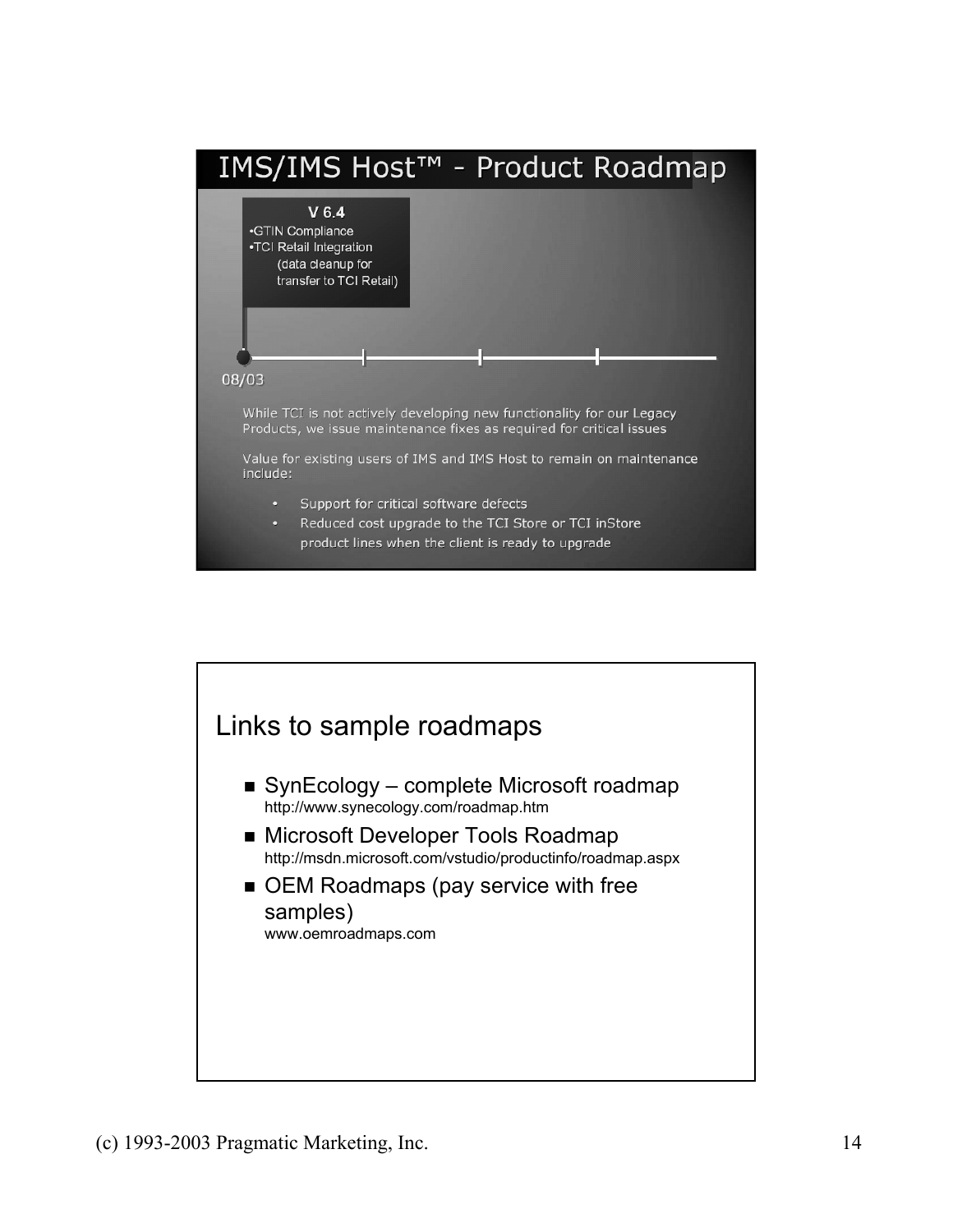